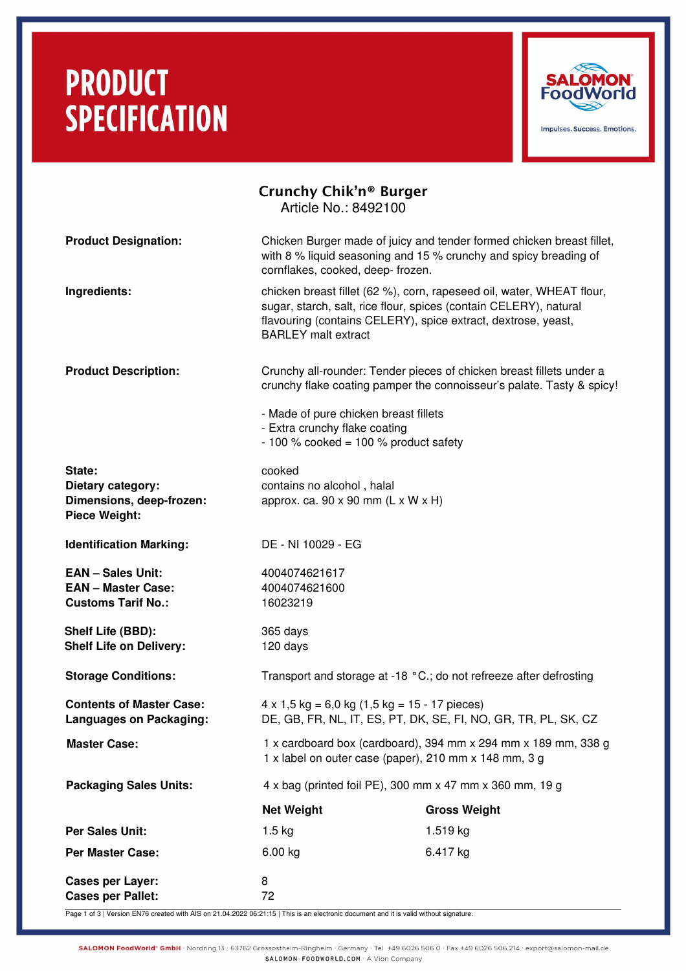# **PRODUCT SPECIFICATION**



|                                                                                    | Crunchy Chik'n <sup>®</sup> Burger<br>Article No.: 8492100                                                                                                                                                                                |                                                                                                                                           |  |
|------------------------------------------------------------------------------------|-------------------------------------------------------------------------------------------------------------------------------------------------------------------------------------------------------------------------------------------|-------------------------------------------------------------------------------------------------------------------------------------------|--|
| <b>Product Designation:</b>                                                        | cornflakes, cooked, deep- frozen.                                                                                                                                                                                                         | Chicken Burger made of juicy and tender formed chicken breast fillet,<br>with 8 % liquid seasoning and 15 % crunchy and spicy breading of |  |
| Ingredients:                                                                       | chicken breast fillet (62 %), corn, rapeseed oil, water, WHEAT flour,<br>sugar, starch, salt, rice flour, spices (contain CELERY), natural<br>flavouring (contains CELERY), spice extract, dextrose, yeast,<br><b>BARLEY</b> malt extract |                                                                                                                                           |  |
| <b>Product Description:</b>                                                        | Crunchy all-rounder: Tender pieces of chicken breast fillets under a<br>crunchy flake coating pamper the connoisseur's palate. Tasty & spicy!                                                                                             |                                                                                                                                           |  |
|                                                                                    | - Made of pure chicken breast fillets<br>- Extra crunchy flake coating<br>$-100$ % cooked = 100 % product safety                                                                                                                          |                                                                                                                                           |  |
| State:<br>Dietary category:<br>Dimensions, deep-frozen:<br><b>Piece Weight:</b>    | cooked<br>contains no alcohol, halal<br>approx. ca. $90 \times 90$ mm (L x W x H)                                                                                                                                                         |                                                                                                                                           |  |
| <b>Identification Marking:</b>                                                     | DE - NI 10029 - EG                                                                                                                                                                                                                        |                                                                                                                                           |  |
| <b>EAN - Sales Unit:</b><br><b>EAN - Master Case:</b><br><b>Customs Tarif No.:</b> | 4004074621617<br>4004074621600<br>16023219                                                                                                                                                                                                |                                                                                                                                           |  |
| Shelf Life (BBD):<br><b>Shelf Life on Delivery:</b>                                | 365 days<br>120 days                                                                                                                                                                                                                      |                                                                                                                                           |  |
| <b>Storage Conditions:</b>                                                         | Transport and storage at -18 °C.; do not refreeze after defrosting                                                                                                                                                                        |                                                                                                                                           |  |
| <b>Contents of Master Case:</b><br><b>Languages on Packaging:</b>                  | $4 \times 1,5$ kg = 6,0 kg $(1,5$ kg = 15 - 17 pieces)<br>DE, GB, FR, NL, IT, ES, PT, DK, SE, FI, NO, GR, TR, PL, SK, CZ                                                                                                                  |                                                                                                                                           |  |
| <b>Master Case:</b>                                                                | 1 x cardboard box (cardboard), 394 mm x 294 mm x 189 mm, 338 g<br>1 x label on outer case (paper), 210 mm x 148 mm, 3 g                                                                                                                   |                                                                                                                                           |  |
| <b>Packaging Sales Units:</b>                                                      | 4 x bag (printed foil PE), 300 mm x 47 mm x 360 mm, 19 g                                                                                                                                                                                  |                                                                                                                                           |  |
|                                                                                    | <b>Net Weight</b>                                                                                                                                                                                                                         | <b>Gross Weight</b>                                                                                                                       |  |
| <b>Per Sales Unit:</b>                                                             | $1.5 \text{ kg}$                                                                                                                                                                                                                          | 1.519 kg                                                                                                                                  |  |
| <b>Per Master Case:</b>                                                            | 6.00 kg                                                                                                                                                                                                                                   | 6.417 kg                                                                                                                                  |  |
| <b>Cases per Layer:</b><br><b>Cases per Pallet:</b>                                | 8<br>72                                                                                                                                                                                                                                   |                                                                                                                                           |  |

Page 1 of 3 | Version EN76 created with AIS on 21.04.2022 06:21:15 | This is an electronic document and it is valid without signature.

SALOMON FoodWorld\* GmbH · Nordring 13 · 63762 Grossostheim-Ringheim · Germany · Tel +49 6026 506 0 · Fax +49 6026 506 214 · export@salomon-mail.de SALOMON-FOODWORLD.COM . A Vion Company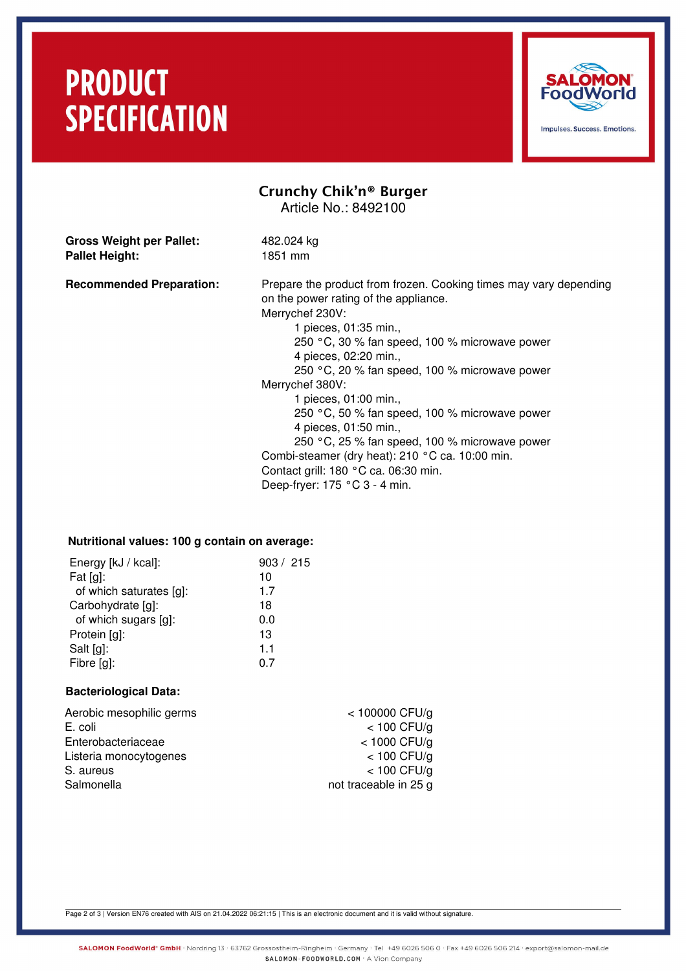### **PRODUCT SPECIFICATION**



### Crunchy Chik'n® Burger Article No.: 8492100

**Gross Weight per Pallet:** 482.024 kg Pallet Height: 1851 mm

**Recommended Preparation:** Prepare the product from frozen. Cooking times may vary depending

on the power rating of the appliance.

Merrychef 230V: 1 pieces, 01:35 min., 250 °C, 30 % fan speed, 100 % microwave power 4 pieces, 02:20 min., 250 °C, 20 % fan speed, 100 % microwave power Merrychef 380V: 1 pieces, 01:00 min., 250 °C, 50 % fan speed, 100 % microwave power 4 pieces, 01:50 min., 250 °C, 25 % fan speed, 100 % microwave power Combi-steamer (dry heat): 210 °C ca. 10:00 min. Contact grill: 180 °C ca. 06:30 min. Deep-fryer: 175 °C 3 - 4 min.

#### **Nutritional values: 100 g contain on average:**

| Energy [kJ / kcal]:     | 903 / 215 |
|-------------------------|-----------|
| Fat $[g]$ :             | 10        |
| of which saturates [g]: | 1.7       |
| Carbohydrate [g]:       | 18        |
| of which sugars [g]:    | 0.0       |
| Protein [g]:            | 13        |
| Salt [g]:               | 1.1       |
| Fibre [g]:              | ი 7       |
|                         |           |

#### **Bacteriological Data:**

| $<$ 100000 CFU/g      |
|-----------------------|
| $<$ 100 CFU/g         |
| $<$ 1000 CFU/g        |
| $<$ 100 CFU/g         |
| $<$ 100 CFU/g         |
| not traceable in 25 g |
|                       |

Page 2 of 3 | Version EN76 created with AIS on 21.04.2022 06:21:15 | This is an electronic document and it is valid without signature.